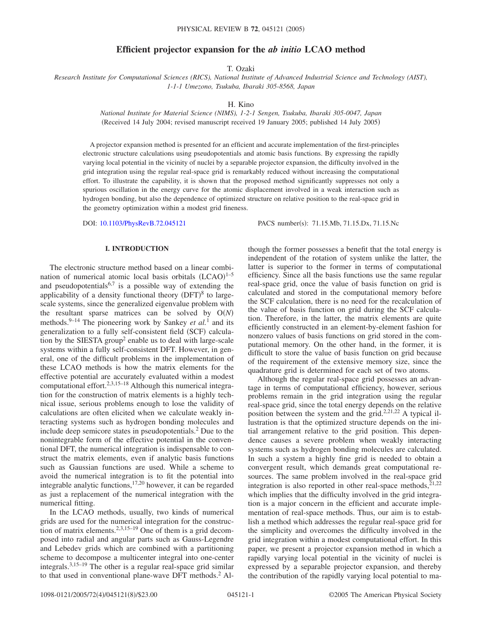# **Efficient projector expansion for the** *ab initio* **LCAO method**

T. Ozaki

*Research Institute for Computational Sciences (RICS), National Institute of Advanced Industrial Science and Technology (AIST), 1-1-1 Umezono, Tsukuba, Ibaraki 305-8568, Japan*

H. Kino

*National Institute for Material Science (NIMS), 1-2-1 Sengen, Tsukuba, Ibaraki 305-0047, Japan* (Received 14 July 2004; revised manuscript received 19 January 2005; published 14 July 2005)

A projector expansion method is presented for an efficient and accurate implementation of the first-principles electronic structure calculations using pseudopotentials and atomic basis functions. By expressing the rapidly varying local potential in the vicinity of nuclei by a separable projector expansion, the difficulty involved in the grid integration using the regular real-space grid is remarkably reduced without increasing the computational effort. To illustrate the capability, it is shown that the proposed method significantly suppresses not only a spurious oscillation in the energy curve for the atomic displacement involved in a weak interaction such as hydrogen bonding, but also the dependence of optimized structure on relative position to the real-space grid in the geometry optimization within a modest grid fineness.

DOI: [10.1103/PhysRevB.72.045121](http://dx.doi.org/10.1103/PhysRevB.72.045121)

PACS number(s): 71.15.Mb, 71.15.Dx, 71.15.Nc

## **I. INTRODUCTION**

The electronic structure method based on a linear combination of numerical atomic local basis orbitals (LCAO)<sup>1-5</sup> and pseudopotentials $6,7$  is a possible way of extending the applicability of a density functional theory  $(DFT)^8$  to largescale systems, since the generalized eigenvalue problem with the resultant sparse matrices can be solved by  $O(N)$ methods.<sup>9–14</sup> The pioneering work by Sankey *et al.*<sup>1</sup> and its generalization to a fully self-consistent field (SCF) calculation by the SIESTA group<sup>2</sup> enable us to deal with large-scale systems within a fully self-consistent DFT. However, in general, one of the difficult problems in the implementation of these LCAO methods is how the matrix elements for the effective potential are accurately evaluated within a modest computational effort.<sup>2,3,15-18</sup> Although this numerical integration for the construction of matrix elements is a highly technical issue, serious problems enough to lose the validity of calculations are often elicited when we calculate weakly interacting systems such as hydrogen bonding molecules and include deep semicore states in pseudopotentials.2 Due to the nonintegrable form of the effective potential in the conventional DFT, the numerical integration is indispensable to construct the matrix elements, even if analytic basis functions such as Gaussian functions are used. While a scheme to avoid the numerical integration is to fit the potential into integrable analytic functions, $17,20$  however, it can be regarded as just a replacement of the numerical integration with the numerical fitting.

In the LCAO methods, usually, two kinds of numerical grids are used for the numerical integration for the construction of matrix elements.<sup>2,3,15–19</sup> One of them is a grid decomposed into radial and angular parts such as Gauss-Legendre and Lebedev grids which are combined with a partitioning scheme to decompose a multicenter integral into one-center integrals.3,15–19 The other is a regular real-space grid similar to that used in conventional plane-wave DFT methods.<sup>2</sup> Al-

though the former possesses a benefit that the total energy is independent of the rotation of system unlike the latter, the latter is superior to the former in terms of computational efficiency. Since all the basis functions use the same regular real-space grid, once the value of basis function on grid is calculated and stored in the computational memory before the SCF calculation, there is no need for the recalculation of the value of basis function on grid during the SCF calculation. Therefore, in the latter, the matrix elements are quite efficiently constructed in an element-by-element fashion for nonzero values of basis functions on grid stored in the computational memory. On the other hand, in the former, it is difficult to store the value of basis function on grid because of the requirement of the extensive memory size, since the quadrature grid is determined for each set of two atoms.

Although the regular real-space grid possesses an advantage in terms of computational efficiency, however, serious problems remain in the grid integration using the regular real-space grid, since the total energy depends on the relative position between the system and the grid.<sup>2,21,22</sup> A typical illustration is that the optimized structure depends on the initial arrangement relative to the grid position. This dependence causes a severe problem when weakly interacting systems such as hydrogen bonding molecules are calculated. In such a system a highly fine grid is needed to obtain a convergent result, which demands great computational resources. The same problem involved in the real-space grid integration is also reported in other real-space methods, $^{21,22}$ which implies that the difficulty involved in the grid integration is a major concern in the efficient and accurate implementation of real-space methods. Thus, our aim is to establish a method which addresses the regular real-space grid for the simplicity and overcomes the difficulty involved in the grid integration within a modest computational effort. In this paper, we present a projector expansion method in which a rapidly varying local potential in the vicinity of nuclei is expressed by a separable projector expansion, and thereby the contribution of the rapidly varying local potential to ma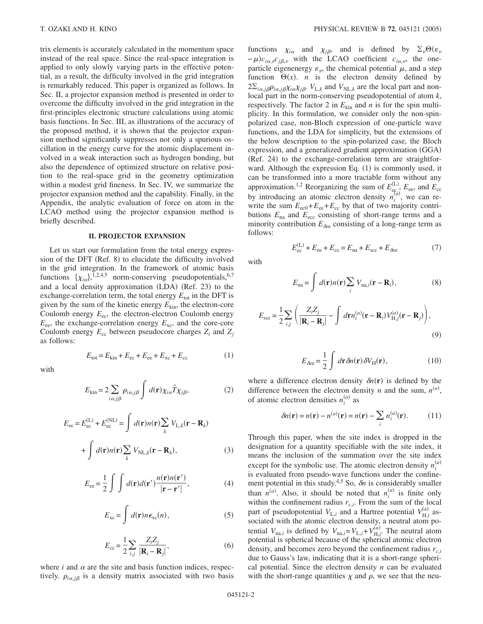trix elements is accurately calculated in the momentum space instead of the real space. Since the real-space integration is applied to only slowly varying parts in the effective potential, as a result, the difficulty involved in the grid integration is remarkably reduced. This paper is organized as follows. In Sec. II, a projector expansion method is presented in order to overcome the difficulty involved in the grid integration in the first-principles electronic structure calculations using atomic basis functions. In Sec. III, as illustrations of the accuracy of the proposed method, it is shown that the projector expansion method significantly suppresses not only a spurious oscillation in the energy curve for the atomic displacement involved in a weak interaction such as hydrogen bonding, but also the dependence of optimized structure on relative position to the real-space grid in the geometry optimization within a modest grid fineness. In Sec. IV, we summarize the projector expansion method and the capability. Finally, in the Appendix, the analytic evaluation of force on atom in the LCAO method using the projector expansion method is briefly described.

### **II. PROJECTOR EXPANSION**

Let us start our formulation from the total energy expression of the DFT (Ref. 8) to elucidate the difficulty involved in the grid integration. In the framework of atomic basis functions  $\{\chi_{ia}\}^{1,2,4,5}$  norm-conserving pseudopotentials, <sup>6,7</sup> and a local density approximation (LDA) (Ref. 23) to the exchange-correlation term, the total energy  $E_{\text{tot}}$  in the DFT is given by the sum of the kinetic energy  $E_{kin}$ , the electron-core Coulomb energy  $E_{\text{ec}}$ , the electron-electron Coulomb energy  $E_{ee}$ , the exchange-correlation energy  $E_{xc}$ , and the core-core Coulomb energy  $E_{cc}$  between pseudocore charges  $Z_i$  and  $Z_j$ as follows:

 $E_{\text{tot}} = E_{\text{kin}} + E_{\text{ec}} + E_{\text{ee}} + E_{\text{xc}} + E_{\text{cc}}$ 

with

$$
E_{\rm kin} = 2 \sum_{i\alpha,j\beta} \rho_{i\alpha,j\beta} \int d(\mathbf{r}) \chi_{i\alpha} \hat{T} \chi_{j\beta},
$$
 (2)

$$
E_{\rm ec} = E_{\rm ec}^{(\rm L)} + E_{\rm ec}^{(\rm NL)} = \int d(\mathbf{r}) n(\mathbf{r}) \sum_{k} V_{\rm L,k}(\mathbf{r} - \mathbf{R}_{k}) + \int d(\mathbf{r}) n(\mathbf{r}) \sum_{k} V_{\rm NL,k}(\mathbf{r} - \mathbf{R}_{k}),
$$
\n(3)

$$
E_{\rm ee} = \frac{1}{2} \int \int d(\mathbf{r}) d(\mathbf{r}') \frac{n(\mathbf{r})n(\mathbf{r}')}{|\mathbf{r} - \mathbf{r}'|},\tag{4}
$$

$$
E_{\rm xc} = \int d(\mathbf{r}) n \epsilon_{\rm xc}(n), \tag{5}
$$

$$
E_{\rm cc} = \frac{1}{2} \sum_{i,j} \frac{Z_i Z_j}{|\mathbf{R}_i - \mathbf{R}_j|},\tag{6}
$$

where  $i$  and  $\alpha$  are the site and basis function indices, respectively.  $\rho_{i\alpha,j\beta}$  is a density matrix associated with two basis

functions  $\chi_{i\alpha}$  and  $\chi_{j\beta}$ , and is defined by  $\Sigma_{\nu} \Theta(\varepsilon_{\nu})$  $-\mu$ )*c*<sub>i $\alpha$ </sub>,  $c_{j\beta}$ , with the LCAO coefficient *c*<sub>i $\alpha$ </sub>, the oneparticle eigenenergy  $\varepsilon_{\nu}$ , the chemical potential  $\mu$ , and a step function  $\Theta(x)$ . *n* is the electron density defined by  $2\Sigma_{i\alpha,j\beta}\rho_{i\alpha,j\beta}\chi_{i\alpha}\chi_{j\beta}$ .  $V_{L,k}$  and  $V_{NL,k}$  are the local part and nonlocal part in the norm-conserving pseudopotential of atom *k*, respectively. The factor 2 in  $E_{kin}$  and *n* is for the spin multiplicity. In this formulation, we consider only the non-spinpolarized case, non-Bloch expression of one-particle wave functions, and the LDA for simplicity, but the extensions of the below description to the spin-polarized case, the Bloch expression, and a generalized gradient approximation (GGA) (Ref. 24) to the exchange-correlation term are straightforward. Although the expression Eq. (1) is commonly used, it can be transformed into a more tractable form without any approximation.<sup>1,2</sup> Reorganizing the sum of  $E_{\text{ee},\lambda}^{(L)}$ ,  $E_{\text{ee}}$ , and  $E_{\text{ce}}$ by introducing an atomic electron density  $n_i^{(a)}$ , we can rewrite the sum  $E_{\text{ec0}}+E_{\text{ee}}+E_{\text{cc}}$  by that of two majority contributions  $E_{na}$  and  $E_{ecc}$  consisting of short-range terms and a minority contribution  $E_{\delta$ ee consisting of a long-range term as follows:

$$
E_{\rm ec}^{(L)} + E_{\rm ee} + E_{\rm cc} = E_{\rm na} + E_{\rm sec} + E_{\delta \rm ee}
$$
 (7)

with

 $(1)$ 

$$
E_{\text{na}} = \int d(\mathbf{r}) n(\mathbf{r}) \sum_{i} V_{\text{na},i}(\mathbf{r} - \mathbf{R}_{i}), \qquad (8)
$$

$$
E_{\rm sec} = \frac{1}{2} \sum_{i,j} \left( \frac{Z_i Z_j}{|\mathbf{R}_i - \mathbf{R}_j|} - \int d\mathbf{r} n_i^{(a)} (\mathbf{r} - \mathbf{R}_i) V_{\rm H,j}^{(a)} (\mathbf{r} - \mathbf{R}_j) \right),\tag{9}
$$

$$
E_{\delta \text{ee}} = \frac{1}{2} \int d\mathbf{r} \,\delta n(\mathbf{r}) \,\delta V_{\text{H}}(\mathbf{r}), \tag{10}
$$

where a difference electron density  $\delta n(\mathbf{r})$  is defined by the difference between the electron density *n* and the sum,  $n^{(a)}$ , of atomic electron densities  $n_i^{(a)}$  as

$$
\delta n(\mathbf{r}) = n(\mathbf{r}) - n^{(a)}(\mathbf{r}) = n(\mathbf{r}) - \sum_{i} n_i^{(a)}(\mathbf{r}).
$$
 (11)

Through this paper, when the site index is dropped in the designation for a quantity specifiable with the site index, it means the inclusion of the summation over the site index except for the symbolic use. The atomic electron density  $n_i^{(a)}$ is evaluated from pseudo-wave functions under the confinement potential in this study.<sup>4,5</sup> So,  $\delta n$  is considerably smaller than  $n^{(a)}$ . Also, it should be noted that  $n_i^{(a)}$  is finite only within the confinement radius  $r_{c,i}$ . From the sum of the local part of pseudopotential  $V_{L,i}$  and a Hartree potential  $V_{H,i}^{(a)}$  associated with the atomic electron density, a neutral atom potential  $V_{\text{na},i}$  is defined by  $V_{\text{na},i} = V_{\text{L},i} + V_{\text{H},i}^{(a)}$ . The neutral atom potential is spherical because of the spherical atomic electron density, and becomes zero beyond the confinement radius  $r_{ci}$ due to Gauss's law, indicating that it is a short-range spherical potential. Since the electron density *n* can be evaluated with the short-range quantities  $\chi$  and  $\rho$ , we see that the neu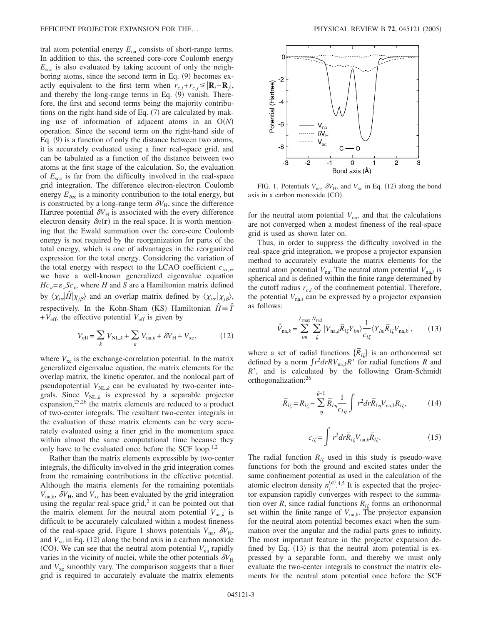tral atom potential energy  $E_{na}$  consists of short-range terms. In addition to this, the screened core-core Coulomb energy  $E_{\rm sec}$  is also evaluated by taking account of only the neighboring atoms, since the second term in Eq. (9) becomes exactly equivalent to the first term when  $r_{c,i} + r_{c,j} \leq |\mathbf{R}_i - \mathbf{R}_j|$ , and thereby the long-range terms in Eq.  $(9)$  vanish. Therefore, the first and second terms being the majority contributions on the right-hand side of Eq.  $(7)$  are calculated by making use of information of adjacent atoms in an O*N* operation. Since the second term on the right-hand side of Eq. (9) is a function of only the distance between two atoms, it is accurately evaluated using a finer real-space grid, and can be tabulated as a function of the distance between two atoms at the first stage of the calculation. So, the evaluation of  $E_{\text{sec}}$  is far from the difficulty involved in the real-space grid integration. The difference electron-electron Coulomb energy  $E_{\delta ee}$  is a minority contribution to the total energy, but is constructed by a long-range term  $\delta V_H$ , since the difference Hartree potential  $\delta V_H$  is associated with the every difference electron density  $\delta n(\mathbf{r})$  in the real space. It is worth mentioning that the Ewald summation over the core-core Coulomb energy is not required by the reorganization for parts of the total energy, which is one of advantages in the reorganized expression for the total energy. Considering the variation of the total energy with respect to the LCAO coefficient  $c_{i\alpha,\nu}$ , we have a well-known generalized eigenvalue equation  $Hc_v = \varepsilon_v Sc_v$ , where *H* and *S* are a Hamiltonian matrix defined by  $\langle \chi_{i\alpha} | \hat{H} | \chi_{j\beta} \rangle$  and an overlap matrix defined by  $\langle \chi_{i\alpha} | \chi_{j\beta} \rangle$ , respectively. In the Kohn-Sham (KS) Hamiltonian  $\hat{H} = \hat{T}$  $+V_{\text{eff}}$ , the effective potential  $V_{\text{eff}}$  is given by

$$
V_{\text{eff}} = \sum_{k} V_{\text{NL},k} + \sum_{k} V_{\text{na},k} + \delta V_{\text{H}} + V_{\text{xc}}, \qquad (12)
$$

where  $V_{\text{xc}}$  is the exchange-correlation potential. In the matrix generalized eigenvalue equation, the matrix elements for the overlap matrix, the kinetic operator, and the nonlocal part of pseudopotential  $V_{NL,k}$  can be evaluated by two-center integrals. Since  $V_{NL,k}$  is expressed by a separable projector expansion,  $25,26$  the matrix elements are reduced to a product of two-center integrals. The resultant two-center integrals in the evaluation of these matrix elements can be very accurately evaluated using a finer grid in the momentum space within almost the same computational time because they only have to be evaluated once before the SCF loop. $^{1,2}$ 

Rather than the matrix elements expressible by two-center integrals, the difficulty involved in the grid integration comes from the remaining contributions in the effective potential. Although the matrix elements for the remaining potentials  $V_{\text{na},k}$ ,  $\delta V_{\text{H}}$ , and  $V_{\text{xc}}$  has been evaluated by the grid integration using the regular real-space  $grid<sub>1</sub><sup>2</sup>$  it can be pointed out that the matrix element for the neutral atom potential  $V_{\text{na},k}$  is difficult to be accurately calculated within a modest fineness of the real-space grid. Figure 1 shows potentials  $V_{na}$ ,  $\delta V_{H}$ , and  $V_{\text{xc}}$  in Eq. (12) along the bond axis in a carbon monoxide (CO). We can see that the neutral atom potential  $V_{na}$  rapidly varies in the vicinity of nuclei, while the other potentials  $\delta V_{\rm H}$ and  $V_{\text{xc}}$  smoothly vary. The comparison suggests that a finer grid is required to accurately evaluate the matrix elements



FIG. 1. Potentials  $V_{\text{na}}$ ,  $\delta V_{\text{H}}$ , and  $V_{\text{xc}}$  in Eq. (12) along the bond axis in a carbon monoxide (CO).

for the neutral atom potential  $V_{na}$ , and that the calculations are not converged when a modest fineness of the real-space grid is used as shown later on.

Thus, in order to suppress the difficulty involved in the real-space grid integration, we propose a projector expansion method to accurately evaluate the matrix elements for the neutral atom potential  $V_{na}$ . The neutral atom potential  $V_{na,i}$  is spherical and is defined within the finite range determined by the cutoff radius  $r_{c,i}$  of the confinement potential. Therefore, the potential *V*na,*<sup>i</sup>* can be expressed by a projector expansion as follows:

$$
\hat{V}_{\text{na},k} = \sum_{lm}^{L_{\text{max}}} \sum_{\zeta}^{N_{\text{rad}}} |V_{\text{na},k} \overline{R}_{l\zeta} Y_{lm} \rangle \frac{1}{c_{l\zeta}} \langle Y_{lm} \overline{R}_{l\zeta} V_{\text{na},k} |, \qquad (13)
$$

where a set of radial functions  $\{\overline{R}_{l\zeta}\}$  is an orthonormal set defined by a norm  $\int r^2 dr R V_{\text{na},k}R'$  for radial functions *R* and *R*, and is calculated by the following Gram-Schmidt orthogonalization:26

$$
\bar{R}_{l\zeta} = R_{l\zeta} - \sum_{\eta}^{\zeta - 1} \bar{R}_{l\eta} \frac{1}{c_{l\eta}} \int r^2 dr \bar{R}_{l\eta} V_{\text{na},k} R_{l\zeta},
$$
(14)

$$
c_{l\zeta} = \int r^2 dr \overline{R}_{l\zeta} V_{\text{na},k} \overline{R}_{l\zeta}.
$$
 (15)

The radial function  $R_{1\zeta}$  used in this study is pseudo-wave functions for both the ground and excited states under the same confinement potential as used in the calculation of the atomic electron density  $n_i^{(a)}$ , 4,5 It is expected that the projector expansion rapidly converges with respect to the summation over *R*, since radial functions  $R_{l\zeta}$  forms an orthonormal set within the finite range of  $V_{\text{na},k}$ . The projector expansion for the neutral atom potential becomes exact when the summation over the angular and the radial parts goes to infinity. The most important feature in the projector expansion defined by Eq.  $(13)$  is that the neutral atom potential is expressed by a separable form, and thereby we must only evaluate the two-center integrals to construct the matrix elements for the neutral atom potential once before the SCF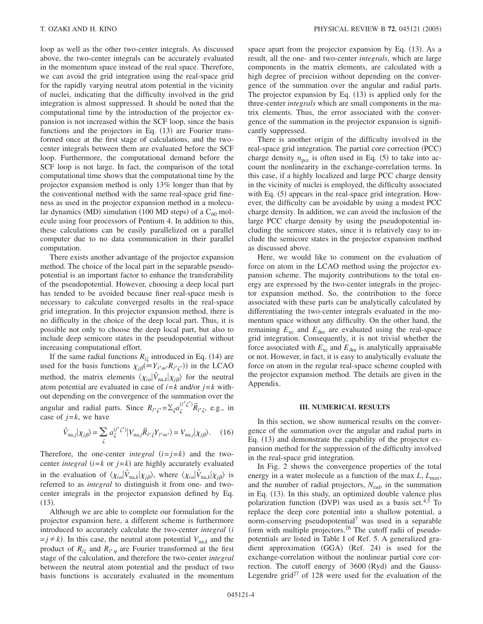loop as well as the other two-center integrals. As discussed above, the two-center integrals can be accurately evaluated in the momentum space instead of the real space. Therefore, we can avoid the grid integration using the real-space grid for the rapidly varying neutral atom potential in the vicinity of nuclei, indicating that the difficulty involved in the grid integration is almost suppressed. It should be noted that the computational time by the introduction of the projector expansion is not increased within the SCF loop, since the basis functions and the projectors in Eq. (13) are Fourier transformed once at the first stage of calculations, and the twocenter integrals between them are evaluated before the SCF loop. Furthermore, the computational demand before the SCF loop is not large. In fact, the comparison of the total computational time shows that the computational time by the projector expansion method is only 13% longer than that by the conventional method with the same real-space grid fineness as used in the projector expansion method in a molecular dynamics (MD) simulation (100 MD steps) of a  $C_{60}$  molecule using four processors of Pentium 4. In addition to this, these calculations can be easily parallelized on a parallel computer due to no data communication in their parallel computation.

There exists another advantage of the projector expansion method. The choice of the local part in the separable pseudopotential is an important factor to enhance the transferability of the pseudopotential. However, choosing a deep local part has tended to be avoided because finer real-space mesh is necessary to calculate converged results in the real-space grid integration. In this projector expansion method, there is no difficulty in the choice of the deep local part. Thus, it is possible not only to choose the deep local part, but also to include deep semicore states in the pseudopotential without increasing computational effort.

If the same radial functions  $R_{l\zeta}$  introduced in Eq. (14) are used for the basis functions  $\chi_{j\beta}(\equiv Y_{l'm'}R_{l'q'})$  in the LCAO method, the matrix elements  $\langle \chi_{i\alpha} | \hat{V}_{\text{na},k} | \chi_{j\beta} \rangle$  for the neutral atom potential are evaluated in case of  $i = k$  and/or  $j = k$  without depending on the convergence of the summation over the angular and radial parts. Since  $R_{l' \zeta} = \sum_{\zeta} a_{\zeta}^{(l' \zeta')} \overline{R}_{l' \zeta}$ , e.g., in case of  $j=k$ , we have

$$
\hat{V}_{\text{na},j}|\chi_{j\beta}\rangle = \sum_{\zeta} a_{\zeta}^{(l'\zeta')} |V_{\text{na},j}\overline{R}_{l'\zeta}Y_{l'm'}\rangle = V_{\text{na},j}|\chi_{j\beta}\rangle. \quad (16)
$$

Therefore, the one-center *integral*  $(i=j=k)$  and the twocenter *integral*  $(i = k \text{ or } j = k)$  are highly accurately evaluated in the evaluation of  $\langle \chi_{i\alpha} | \hat{V}_{\text{na},k} | \chi_{j\beta} \rangle$ , where  $\langle \chi_{i\alpha} | \hat{V}_{\text{na},k} | \chi_{j\beta} \rangle$  is referred to as *integral* to distinguish it from one- and twocenter integrals in the projector expansion defined by Eq.  $(13).$ 

Although we are able to complete our formulation for the projector expansion here, a different scheme is furthermore introduced to accurately calculate the two-center *integral i*  $=j \neq k$ ). In this case, the neutral atom potential  $V_{\text{na},k}$  and the product of  $R_{l\zeta}$  and  $R_{l'\eta}$  are Fourier transformed at the first stage of the calculation, and therefore the two-center *integral* between the neutral atom potential and the product of two basis functions is accurately evaluated in the momentum

space apart from the projector expansion by Eq. (13). As a result, all the one- and two-center *integrals*, which are large components in the matrix elements, are calculated with a high degree of precision without depending on the convergence of the summation over the angular and radial parts. The projector expansion by Eq.  $(13)$  is applied only for the three-center *integrals* which are small components in the matrix elements. Thus, the error associated with the convergence of the summation in the projector expansion is significantly suppressed.

There is another origin of the difficulty involved in the real-space grid integration. The partial core correction (PCC) charge density  $n_{\text{pcc}}$  is often used in Eq. (5) to take into account the nonlinearity in the exchange-correlation terms. In this case, if a highly localized and large PCC charge density in the vicinity of nuclei is employed, the difficulty associated with Eq. (5) appears in the real-space grid integration. However, the difficulty can be avoidable by using a modest PCC charge density. In addition, we can avoid the inclusion of the large PCC charge density by using the pseudopotential including the semicore states, since it is relatively easy to include the semicore states in the projector expansion method as discussed above.

Here, we would like to comment on the evaluation of force on atom in the LCAO method using the projector expansion scheme. The majority contributions to the total energy are expressed by the two-center integrals in the projector expansion method. So, the contribution to the force associated with these parts can be analytically calculated by differentiating the two-center integrals evaluated in the momentum space without any difficulty. On the other hand, the remaining  $E_{\text{xc}}$  and  $E_{\text{dec}}$  are evaluated using the real-space grid integration. Consequently, it is not trivial whether the force associated with  $E_{\text{xc}}$  and  $E_{\text{dec}}$  is analytically appraisable or not. However, in fact, it is easy to analytically evaluate the force on atom in the regular real-space scheme coupled with the projector expansion method. The details are given in the Appendix.

#### **III. NUMERICAL RESULTS**

In this section, we show numerical results on the convergence of the summation over the angular and radial parts in Eq. (13) and demonstrate the capability of the projector expansion method for the suppression of the difficulty involved in the real-space grid integration.

In Fig. 2 shows the convergence properties of the total energy in a water molecule as a function of the max  $L, L_{\text{max}}$ , and the number of radial projectors,  $N_{\text{rad}}$ , in the summation in Eq. (13). In this study, an optimized double valence plus polarization function (DVP) was used as a basis set.<sup>4,5</sup> To replace the deep core potential into a shallow potential, a norm-conserving pseudopotential<sup>7</sup> was used in a separable form with multiple projectors.<sup>26</sup> The cutoff radii of pseudopotentials are listed in Table I of Ref. 5. A generalized gradient approximation (GGA) (Ref. 24) is used for the exchange-correlation without the nonlinear partial core correction. The cutoff energy of 3600 (Ryd) and the Gauss-Legendre grid<sup>27</sup> of 128 were used for the evaluation of the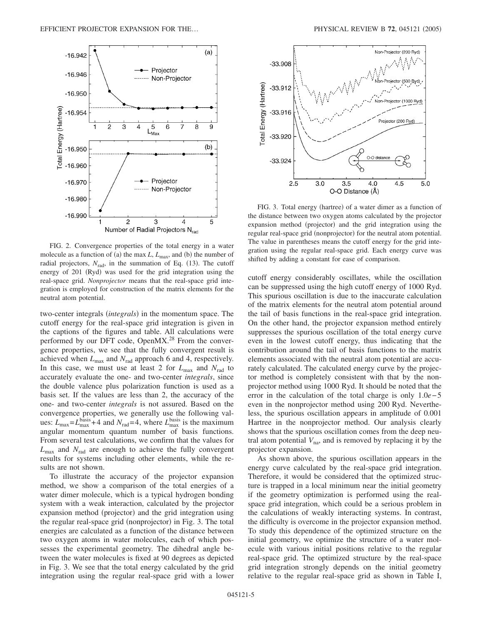

FIG. 2. Convergence properties of the total energy in a water molecule as a function of (a) the max *L*,  $L_{\text{max}}$ , and (b) the number of radial projectors,  $N_{\text{rad}}$ , in the summation of Eq. (13). The cutoff energy of 201 (Ryd) was used for the grid integration using the real-space grid. *Nonprojector* means that the real-space grid integration is employed for construction of the matrix elements for the neutral atom potential.

two-center integrals *(integrals)* in the momentum space. The cutoff energy for the real-space grid integration is given in the captions of the figures and table. All calculations were performed by our DFT code, OpenMX.<sup>28</sup> From the convergence properties, we see that the fully convergent result is achieved when *L*max and *N*rad approach 6 and 4, respectively. In this case, we must use at least 2 for  $L_{\text{max}}$  and  $N_{\text{rad}}$  to accurately evaluate the one- and two-center *integrals*, since the double valence plus polarization function is used as a basis set. If the values are less than 2, the accuracy of the one- and two-center *integrals* is not assured. Based on the convergence properties, we generally use the following values:  $L_{\text{max}} = L_{\text{max}}^{\text{basis}} + 4$  and  $N_{\text{rad}} = 4$ , where  $L_{\text{max}}^{\text{basis}}$  is the maximum angular momentum quantum number of basis functions. From several test calculations, we confirm that the values for *L*max and *N*rad are enough to achieve the fully convergent results for systems including other elements, while the results are not shown.

To illustrate the accuracy of the projector expansion method, we show a comparison of the total energies of a water dimer molecule, which is a typical hydrogen bonding system with a weak interaction, calculated by the projector expansion method (projector) and the grid integration using the regular real-space grid (nonprojector) in Fig. 3. The total energies are calculated as a function of the distance between two oxygen atoms in water molecules, each of which possesses the experimental geometry. The dihedral angle between the water molecules is fixed at 90 degrees as depicted in Fig. 3. We see that the total energy calculated by the grid integration using the regular real-space grid with a lower



FIG. 3. Total energy (hartree) of a water dimer as a function of the distance between two oxygen atoms calculated by the projector expansion method (projector) and the grid integration using the regular real-space grid (nonprojector) for the neutral atom potential. The value in parentheses means the cutoff energy for the grid integration using the regular real-space grid. Each energy curve was shifted by adding a constant for ease of comparison.

cutoff energy considerably oscillates, while the oscillation can be suppressed using the high cutoff energy of 1000 Ryd. This spurious oscillation is due to the inaccurate calculation of the matrix elements for the neutral atom potential around the tail of basis functions in the real-space grid integration. On the other hand, the projector expansion method entirely suppresses the spurious oscillation of the total energy curve even in the lowest cutoff energy, thus indicating that the contribution around the tail of basis functions to the matrix elements associated with the neutral atom potential are accurately calculated. The calculated energy curve by the projector method is completely consistent with that by the nonprojector method using 1000 Ryd. It should be noted that the error in the calculation of the total charge is only 1.0*e*− 5 even in the nonprojector method using 200 Ryd. Nevertheless, the spurious oscillation appears in amplitude of 0.001 Hartree in the nonprojector method. Our analysis clearly shows that the spurious oscillation comes from the deep neutral atom potential  $V_{na}$ , and is removed by replacing it by the projector expansion.

As shown above, the spurious oscillation appears in the energy curve calculated by the real-space grid integration. Therefore, it would be considered that the optimized structure is trapped in a local minimum near the initial geometry if the geometry optimization is performed using the realspace grid integration, which could be a serious problem in the calculations of weakly interacting systems. In contrast, the difficulty is overcome in the projector expansion method. To study this dependence of the optimized structure on the initial geometry, we optimize the structure of a water molecule with various initial positions relative to the regular real-space grid. The optimized structure by the real-space grid integration strongly depends on the initial geometry relative to the regular real-space grid as shown in Table I,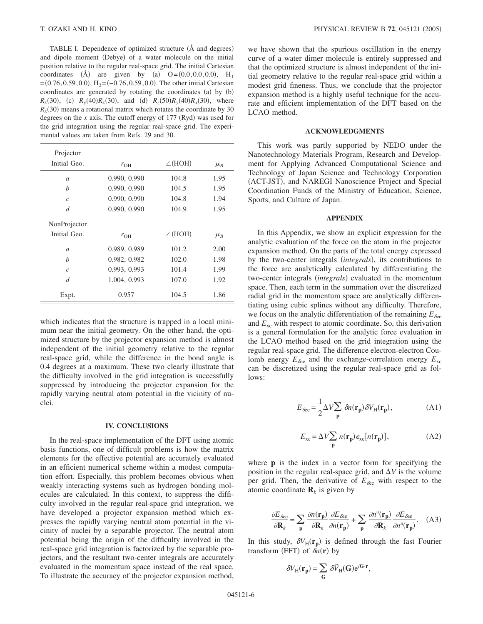TABLE I. Dependence of optimized structure (Å and degrees) and dipole moment (Debye) of a water molecule on the initial position relative to the regular real-space grid. The initial Cartesian coordinates  $(A)$  are given by  $(a)$   $O=(0.0, 0.0, 0.0)$ ,  $H_1$  $=(0.76, 0.59, 0.0), H<sub>2</sub> = (-0.76, 0.59, 0.0).$  The other initial Cartesian coordinates are generated by rotating the coordinates (a) by (b)  $R_x(30)$ , (c)  $R_y(40)R_x(30)$ , and (d)  $R_z(50)R_y(40)R_x(30)$ , where  $R<sub>x</sub>(30)$  means a rotational matrix which rotates the coordinate by 30 degrees on the  $x$  axis. The cutoff energy of  $177$  (Ryd) was used for the grid integration using the regular real-space grid. The experimental values are taken from Refs. 29 and 30.

| Projector      |                 |                |         |
|----------------|-----------------|----------------|---------|
| Initial Geo.   | $r_{\text{OH}}$ | $\angle$ (HOH) | $\mu_B$ |
| $\mathfrak{a}$ | 0.990, 0.990    | 104.8          | 1.95    |
| h              | 0.990, 0.990    | 104.5          | 1.95    |
| $\mathcal{C}$  | 0.990, 0.990    | 104.8          | 1.94    |
| d              | 0.990, 0.990    | 104.9          | 1.95    |
| NonProjector   |                 |                |         |
| Initial Geo.   | $r_{\text{OH}}$ | $\angle$ (HOH) | $\mu_B$ |
| $\overline{a}$ | 0.989, 0.989    | 101.2          | 2.00    |
| h              | 0.982, 0.982    | 102.0          | 1.98    |
| $\overline{c}$ | 0.993, 0.993    | 101.4          | 1.99    |
| d              | 1.004, 0.993    | 107.0          | 1.92    |
| Expt.          | 0.957           | 104.5          | 1.86    |

which indicates that the structure is trapped in a local minimum near the initial geometry. On the other hand, the optimized structure by the projector expansion method is almost independent of the initial geometry relative to the regular real-space grid, while the difference in the bond angle is 0.4 degrees at a maximum. These two clearly illustrate that the difficulty involved in the grid integration is successfully suppressed by introducing the projector expansion for the rapidly varying neutral atom potential in the vicinity of nuclei.

#### **IV. CONCLUSIONS**

In the real-space implementation of the DFT using atomic basis functions, one of difficult problems is how the matrix elements for the effective potential are accurately evaluated in an efficient numerical scheme within a modest computation effort. Especially, this problem becomes obvious when weakly interacting systems such as hydrogen bonding molecules are calculated. In this context, to suppress the difficulty involved in the regular real-space grid integration, we have developed a projector expansion method which expresses the rapidly varying neutral atom potential in the vicinity of nuclei by a separable projector. The neutral atom potential being the origin of the difficulty involved in the real-space grid integration is factorized by the separable projectors, and the resultant two-center integrals are accurately evaluated in the momentum space instead of the real space. To illustrate the accuracy of the projector expansion method, we have shown that the spurious oscillation in the energy curve of a water dimer molecule is entirely suppressed and that the optimized structure is almost independent of the initial geometry relative to the regular real-space grid within a modest grid fineness. Thus, we conclude that the projector expansion method is a highly useful technique for the accurate and efficient implementation of the DFT based on the LCAO method.

## **ACKNOWLEDGMENTS**

This work was partly supported by NEDO under the Nanotechnology Materials Program, Research and Development for Applying Advanced Computational Science and Technology of Japan Science and Technology Corporation (ACT-JST), and NAREGI Nanoscience Project and Special Coordination Funds of the Ministry of Education, Science, Sports, and Culture of Japan.

#### **APPENDIX**

In this Appendix, we show an explicit expression for the analytic evaluation of the force on the atom in the projector expansion method. On the parts of the total energy expressed by the two-center integrals *(integrals)*, its contributions to the force are analytically calculated by differentiating the two-center integrals *(integrals)* evaluated in the momentum space. Then, each term in the summation over the discretized radial grid in the momentum space are analytically differentiating using cubic splines without any difficulty. Therefore, we focus on the analytic differentiation of the remaining  $E_{\delta$ ee and  $E_{\text{xc}}$  with respect to atomic coordinate. So, this derivation is a general formulation for the analytic force evaluation in the LCAO method based on the grid integration using the regular real-space grid. The difference electron-electron Coulomb energy  $E_{\text{de}}$  and the exchange-correlation energy  $E_{\text{xc}}$ can be discretized using the regular real-space grid as follows:

$$
E_{\delta \text{ee}} = \frac{1}{2} \Delta V \sum_{\mathbf{p}} \delta n(\mathbf{r}_{\mathbf{p}}) \delta V_{\text{H}}(\mathbf{r}_{\mathbf{p}}), \tag{A1}
$$

$$
E_{\rm xc} = \Delta V \sum_{\mathbf{p}} n(\mathbf{r}_{\mathbf{p}}) \epsilon_{\rm xc}[n(\mathbf{r}_{\mathbf{p}})],\tag{A2}
$$

where **p** is the index in a vector form for specifying the position in the regular real-space grid, and  $\Delta V$  is the volume per grid. Then, the derivative of  $E_{\delta ee}$  with respect to the atomic coordinate  $\mathbf{R}_k$  is given by

$$
\frac{\partial E_{\delta \text{ee}}}{\partial \mathbf{R}_k} = \sum_{\mathbf{p}} \frac{\partial n(\mathbf{r}_\mathbf{p})}{\partial \mathbf{R}_k} \frac{\partial E_{\delta \text{ee}}}{\partial n(\mathbf{r}_\mathbf{p})} + \sum_{\mathbf{p}} \frac{\partial n^a(\mathbf{r}_\mathbf{p})}{\partial \mathbf{R}_k} \frac{\partial E_{\delta \text{ee}}}{\partial n^a(\mathbf{r}_\mathbf{p})}.
$$
 (A3)

In this study,  $\delta V_H(\mathbf{r}_p)$  is defined through the fast Fourier transform (FFT) of  $\delta n(\mathbf{r})$  by

$$
\delta V_{\rm H}(\mathbf{r}_{\rm p}) = \sum_{\mathbf{G}} \delta \widetilde{V}_{\rm H}(\mathbf{G}) e^{i\mathbf{G}\cdot\mathbf{r}},
$$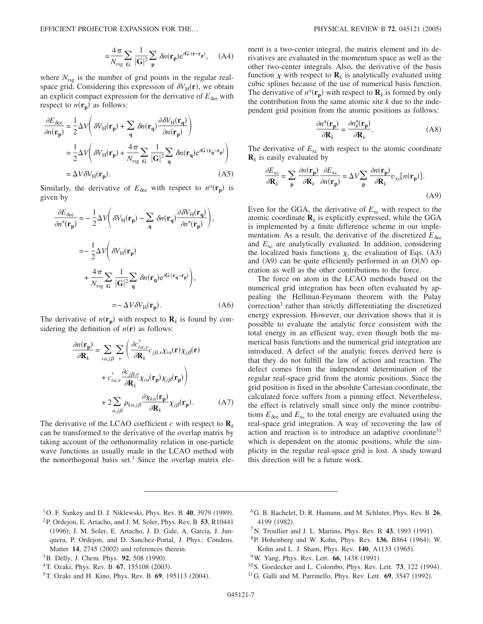$$
= \frac{4\pi}{N_{\rm{rsg}}} \sum_{\mathbf{G}} \frac{1}{|\mathbf{G}|^2} \sum_{\mathbf{p}} \delta n(\mathbf{r}_{\mathbf{p}}) e^{i\mathbf{G}\cdot(\mathbf{r}-\mathbf{r}_{\mathbf{p}})}, \quad (A4)
$$

where  $N_{\text{rsg}}$  is the number of grid points in the regular realspace grid. Considering this expression of  $\delta V_H(\mathbf{r})$ , we obtain an explicit compact expression for the derivative of  $E_{\delta ee}$  with respect to  $n(\mathbf{r}_p)$  as follows:

$$
\frac{\partial E_{\delta \text{ee}}}{\partial n(\mathbf{r}_{\mathbf{p}})} = \frac{1}{2} \Delta V \left( \delta V_{\text{H}}(\mathbf{r}_{\mathbf{p}}) + \sum_{\mathbf{q}} \delta n(\mathbf{r}_{\mathbf{q}}) \frac{\partial \delta V_{\text{H}}(\mathbf{r}_{\mathbf{q}})}{\partial n(\mathbf{r}_{\mathbf{p}})} \right)
$$

$$
= \frac{1}{2} \Delta V \left( \delta V_{\text{H}}(\mathbf{r}_{\mathbf{p}}) + \frac{4\pi}{N_{\text{rsg}}} \sum_{\mathbf{G}} \frac{1}{|\mathbf{G}|^2} \sum_{\mathbf{q}} \delta n(\mathbf{r}_{\mathbf{q}}) e^{i\mathbf{G} \cdot (\mathbf{r}_{\mathbf{q}} - \mathbf{r}_{\mathbf{p}})} \right)
$$

$$
= \Delta V \delta V_{\text{H}}(\mathbf{r}_{\mathbf{p}}).
$$
(A5)

Similarly, the derivative of  $E_{\delta ee}$  with respect to  $n^a(\mathbf{r}_p)$  is given by

$$
\frac{\partial E_{\delta \text{ee}}}{\partial n^a(\mathbf{r}_p)} = -\frac{1}{2} \Delta V \left( \delta V_H(\mathbf{r}_p) - \sum_{\mathbf{q}} \delta n(\mathbf{r}_q) \frac{\partial \delta V_H(\mathbf{r}_q)}{\partial n^a(\mathbf{r}_p)} \right),
$$
  

$$
= -\frac{1}{2} \Delta V \left( \delta V_H(\mathbf{r}_p) + \frac{4\pi}{N_{\text{rsg}}} \sum_{\mathbf{G}} \frac{1}{|\mathbf{G}|^2} \sum_{\mathbf{q}} \delta n(\mathbf{r}_q) e^{i\mathbf{G} \cdot (\mathbf{r}_q - \mathbf{r}_p)} \right),
$$
  

$$
= -\Delta V \delta V_H(\mathbf{r}_p).
$$
 (A6)

The derivative of  $n(\mathbf{r}_p)$  with respect to  $\mathbf{R}_k$  is found by considering the definition of  $n(\mathbf{r})$  as follows:

$$
\frac{\partial n(\mathbf{r}_{\mathbf{p}})}{\partial \mathbf{R}_{k}} = \sum_{i\alpha,j\beta} \sum_{\nu} \left( \frac{\partial c_{i\alpha,\nu}^{*}}{\partial \mathbf{R}_{k}} c_{j\beta,\nu} \chi_{i\alpha}(\mathbf{r}) \chi_{j\beta}(\mathbf{r}) + c_{i\alpha,\nu}^{*} \frac{\partial c_{j\beta,\nu}}{\partial \mathbf{R}_{k}} \chi_{i\alpha}(\mathbf{r}_{\mathbf{p}}) \chi_{j\beta}(\mathbf{r}_{\mathbf{p}}) \right) + 2 \sum_{\alpha,j\beta} \rho_{k\alpha,j\beta} \frac{\partial \chi_{k\alpha}(\mathbf{r}_{\mathbf{p}})}{\partial \mathbf{R}_{k}} \chi_{j\beta}(\mathbf{r}_{\mathbf{p}}).
$$
(A7)

The derivative of the LCAO coefficient *c* with respect to  $\mathbf{R}_k$ can be transformed to the derivative of the overlap matrix by taking account of the orthonormality relation in one-particle wave functions as usually made in the LCAO method with the nonorthogonal basis set.<sup>1</sup> Since the overlap matrix element is a two-center integral, the matrix element and its derivatives are evaluated in the momentum space as well as the other two-center integrals. Also, the derivative of the basis function  $\chi$  with respect to  $\mathbf{R}_k$  is analytically evaluated using cubic splines because of the use of numerical basis function. The derivative of  $n^a(\mathbf{r}_p)$  with respect to  $\mathbf{R}_k$  is formed by only the contribution from the same atomic site *k* due to the independent grid position from the atomic positions as follows:

$$
\frac{\partial n^{\rm a}(\mathbf{r}_{\rm p})}{\partial \mathbf{R}_k} = \frac{\partial n_k^{\rm a}(\mathbf{r}_{\rm p})}{\partial \mathbf{R}_k}.
$$
 (A8)

The derivative of  $E_{\text{xc}}$  with respect to the atomic coordinate  $\mathbf{R}_k$  is easily evaluated by

$$
\frac{\partial E_{\rm xc}}{\partial \mathbf{R}_k} = \sum_{\mathbf{p}} \frac{\partial n(\mathbf{r}_{\mathbf{p}})}{\partial \mathbf{R}_k} \frac{\partial E_{\rm xc}}{\partial n(\mathbf{r}_{\mathbf{p}})} = \Delta V \sum_{\mathbf{p}} \frac{\partial n(\mathbf{r}_{\mathbf{p}})}{\partial \mathbf{R}_k} v_{\rm xc}[n(\mathbf{r}_{\mathbf{p}})].
$$
\n(A9)

Even for the GGA, the derivative of  $E_{xc}$  with respect to the atomic coordinate  $\mathbf{R}_k$  is explicitly expressed, while the GGA is implemented by a finite difference scheme in our implementation. As a result, the derivative of the discretized  $E_{\text{de}}$ and *E*xc are analytically evaluated. In addition, considering the localized basis functions  $\chi$ , the evaluation of Eqs. (A3) and  $(A9)$  can be quite efficiently performed in an  $O(N)$  operation as well as the other contributions to the force.

The force on atom in the LCAO methods based on the numerical grid integration has been often evaluated by appealing the Hellman-Feymann theorem with the Pulay correction<sup>3</sup> rather than strictly differentiating the discretized energy expression. However, our derivation shows that it is possible to evaluate the analytic force consistent with the total energy in an efficient way, even though both the numerical basis functions and the numerical grid integration are introduced. A defect of the analytic forces derived here is that they do not fulfill the law of action and reaction. The defect comes from the independent determination of the regular real-space grid from the atomic positions. Since the grid position is fixed in the absolute Cartesian coordinate, the calculated force suffers from a pinning effect. Nevertheless, the effect is relatively small since only the minor contributions  $E_{\delta$ ee and  $E_{\rm xc}$  to the total energy are evaluated using the real-space grid integration. A way of recovering the law of action and reaction is to introduce an adaptive coordinate<sup>31</sup> which is dependent on the atomic positions, while the simplicity in the regular real-space grid is lost. A study toward this direction will be a future work.

- <sup>1</sup> O. F. Sankey and D. J. Niklewski, Phys. Rev. B **40**, 3979 (1989).
- 2P. Ordejon, E. Artacho, and J. M. Soler, Phys. Rev. B **53**, R10441 (1996); J. M. Soler, E. Artacho, J. D. Gale, A. Garcia, J. Junquera, P. Ordejon, and D. Sanchez-Portal, J. Phys.: Condens. Matter 14, 2745 (2002) and references therein.
- <sup>3</sup>B. Delly, J. Chem. Phys. **92**, 508 (1990).
- <sup>4</sup>T. Ozaki, Phys. Rev. B **67**, 155108 (2003).
- <sup>5</sup>T. Ozaki and H. Kino, Phys. Rev. B **69**, 195113 (2004).
- 6G. B. Bachelet, D. R. Hamann, and M. Schluter, Phys. Rev. B **26**, 4199 (1982).
- <sup>7</sup> N. Troullier and J. L. Martins, Phys. Rev. B **43**, 1993 (1991).
- <sup>8</sup>P. Hohenberg and W. Kohn, Phys. Rev. 136, B864 (1964); W. Kohn and L. J. Sham, Phys. Rev. 140, A1133 (1965).
- <sup>9</sup>W. Yang, Phys. Rev. Lett. **66**, 1438 (1991).
- <sup>10</sup> S. Goedecker and L. Colombo, Phys. Rev. Lett. 73, 122 (1994).
- $11$ G. Galli and M. Parrinello, Phys. Rev. Lett.  $69$ , 3547 (1992).